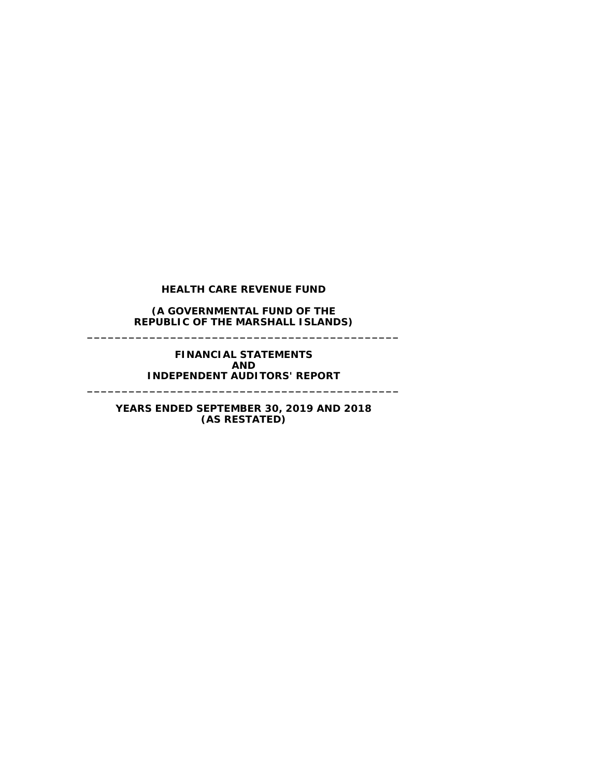#### **(A GOVERNMENTAL FUND OF THE REPUBLIC OF THE MARSHALL ISLANDS) \_\_\_\_\_\_\_\_\_\_\_\_\_\_\_\_\_\_\_\_\_\_\_\_\_\_\_\_\_\_\_\_\_\_\_\_\_\_\_\_\_\_\_\_\_**

#### **FINANCIAL STATEMENTS AND INDEPENDENT AUDITORS' REPORT**

**\_\_\_\_\_\_\_\_\_\_\_\_\_\_\_\_\_\_\_\_\_\_\_\_\_\_\_\_\_\_\_\_\_\_\_\_\_\_\_\_\_\_\_\_\_**

# **YEARS ENDED SEPTEMBER 30, 2019 AND 2018 (AS RESTATED)**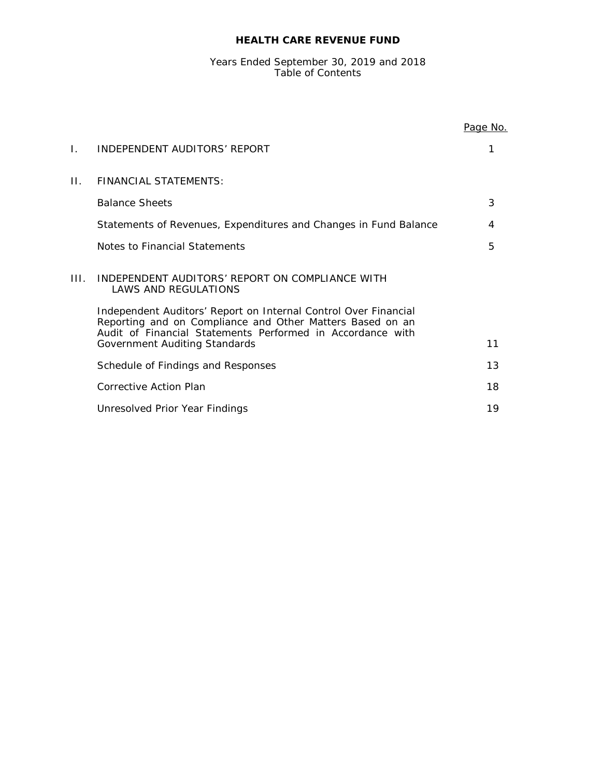# Years Ended September 30, 2019 and 2018 Table of Contents

|     |                                                                                                                                                                                                         | <u>Page No.</u> |
|-----|---------------------------------------------------------------------------------------------------------------------------------------------------------------------------------------------------------|-----------------|
| Ι.  | INDEPENDENT AUDITORS' REPORT                                                                                                                                                                            |                 |
|     |                                                                                                                                                                                                         |                 |
| Н.  | <b>FINANCIAL STATEMENTS:</b>                                                                                                                                                                            |                 |
|     | <b>Balance Sheets</b>                                                                                                                                                                                   | 3               |
|     | Statements of Revenues, Expenditures and Changes in Fund Balance                                                                                                                                        | 4               |
|     | Notes to Financial Statements                                                                                                                                                                           | 5               |
| HL. | INDEPENDENT AUDITORS' REPORT ON COMPLIANCE WITH<br>LAWS AND REGULATIONS<br>Independent Auditors' Report on Internal Control Over Financial<br>Reporting and on Compliance and Other Matters Based on an |                 |
|     | Audit of Financial Statements Performed in Accordance with<br>Government Auditing Standards                                                                                                             | 11              |
|     | Schedule of Findings and Responses                                                                                                                                                                      | 13              |
|     | Corrective Action Plan                                                                                                                                                                                  | 18              |
|     | Unresolved Prior Year Findings                                                                                                                                                                          | 19              |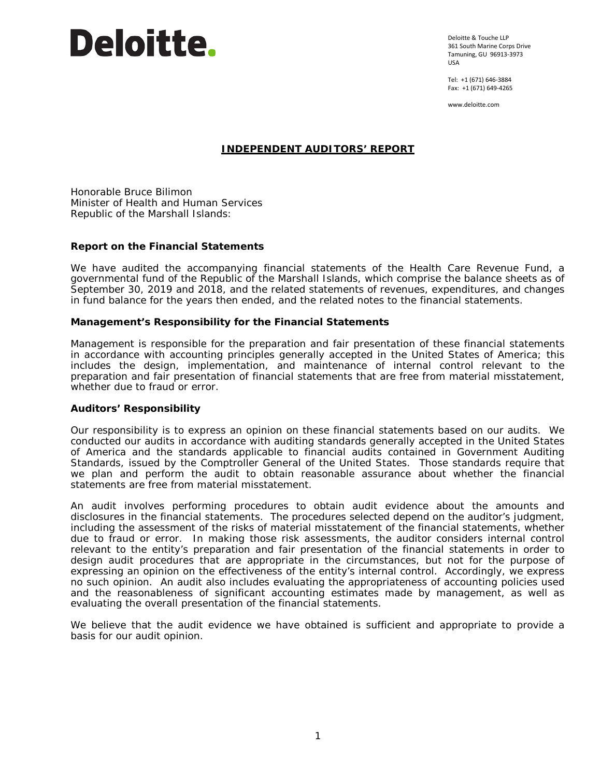# Deloitte.

Deloitte & Touche LLP 361 South Marine Corps Drive Tamuning, GU 96913-3973 USA

Tel: +1 (671) 646-3884 Fax: +1 (671) 649-4265

www.deloitte.com

# **INDEPENDENT AUDITORS' REPORT**

Honorable Bruce Bilimon Minister of Health and Human Services Republic of the Marshall Islands:

# **Report on the Financial Statements**

We have audited the accompanying financial statements of the Health Care Revenue Fund, a governmental fund of the Republic of the Marshall Islands, which comprise the balance sheets as of September 30, 2019 and 2018, and the related statements of revenues, expenditures, and changes in fund balance for the years then ended, and the related notes to the financial statements.

# *Management's Responsibility for the Financial Statements*

Management is responsible for the preparation and fair presentation of these financial statements in accordance with accounting principles generally accepted in the United States of America; this includes the design, implementation, and maintenance of internal control relevant to the preparation and fair presentation of financial statements that are free from material misstatement, whether due to fraud or error.

#### *Auditors' Responsibility*

Our responsibility is to express an opinion on these financial statements based on our audits. We conducted our audits in accordance with auditing standards generally accepted in the United States of America and the standards applicable to financial audits contained in *Government Auditing Standards*, issued by the Comptroller General of the United States. Those standards require that we plan and perform the audit to obtain reasonable assurance about whether the financial statements are free from material misstatement.

An audit involves performing procedures to obtain audit evidence about the amounts and disclosures in the financial statements. The procedures selected depend on the auditor's judgment, including the assessment of the risks of material misstatement of the financial statements, whether due to fraud or error. In making those risk assessments, the auditor considers internal control relevant to the entity's preparation and fair presentation of the financial statements in order to design audit procedures that are appropriate in the circumstances, but not for the purpose of expressing an opinion on the effectiveness of the entity's internal control. Accordingly, we express no such opinion. An audit also includes evaluating the appropriateness of accounting policies used and the reasonableness of significant accounting estimates made by management, as well as evaluating the overall presentation of the financial statements.

We believe that the audit evidence we have obtained is sufficient and appropriate to provide a basis for our audit opinion.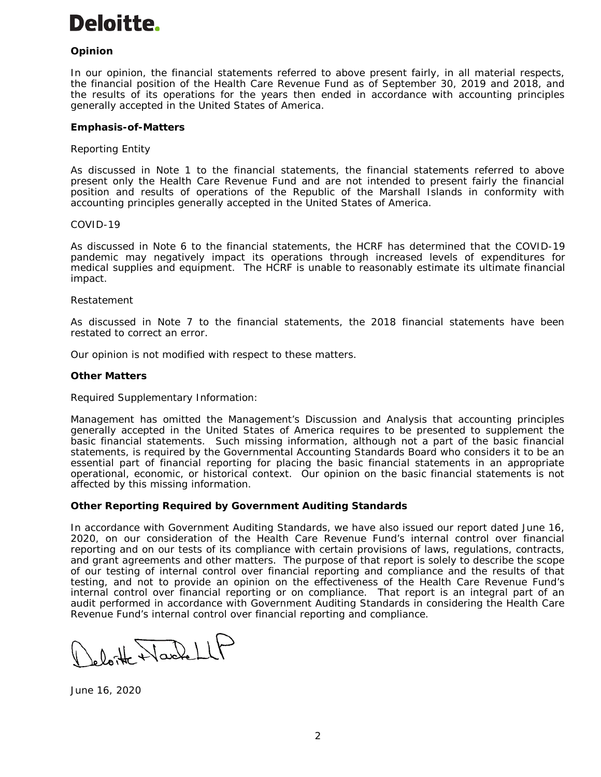# **Deloitte.**

# *Opinion*

In our opinion, the financial statements referred to above present fairly, in all material respects, the financial position of the Health Care Revenue Fund as of September 30, 2019 and 2018, and the results of its operations for the years then ended in accordance with accounting principles generally accepted in the United States of America.

# *Emphasis-of-Matters*

# *Reporting Entity*

As discussed in Note 1 to the financial statements, the financial statements referred to above present only the Health Care Revenue Fund and are not intended to present fairly the financial position and results of operations of the Republic of the Marshall Islands in conformity with accounting principles generally accepted in the United States of America.

#### *COVID-19*

As discussed in Note 6 to the financial statements, the HCRF has determined that the COVID-19 pandemic may negatively impact its operations through increased levels of expenditures for medical supplies and equipment. The HCRF is unable to reasonably estimate its ultimate financial impact.

#### *Restatement*

As discussed in Note 7 to the financial statements, the 2018 financial statements have been restated to correct an error.

Our opinion is not modified with respect to these matters.

#### *Other Matters*

#### *Required Supplementary Information:*

Management has omitted the Management's Discussion and Analysis that accounting principles generally accepted in the United States of America requires to be presented to supplement the basic financial statements. Such missing information, although not a part of the basic financial statements, is required by the Governmental Accounting Standards Board who considers it to be an essential part of financial reporting for placing the basic financial statements in an appropriate operational, economic, or historical context. Our opinion on the basic financial statements is not affected by this missing information.

#### **Other Reporting Required by** *Government Auditing Standards*

In accordance with *Government Auditing Standards*, we have also issued our report dated June 16, 2020, on our consideration of the Health Care Revenue Fund's internal control over financial reporting and on our tests of its compliance with certain provisions of laws, regulations, contracts, and grant agreements and other matters. The purpose of that report is solely to describe the scope of our testing of internal control over financial reporting and compliance and the results of that testing, and not to provide an opinion on the effectiveness of the Health Care Revenue Fund's internal control over financial reporting or on compliance. That report is an integral part of an audit performed in accordance with *Government Auditing Standards* in considering the Health Care Revenue Fund's internal control over financial reporting and compliance.

deloit Nache LLF

June 16, 2020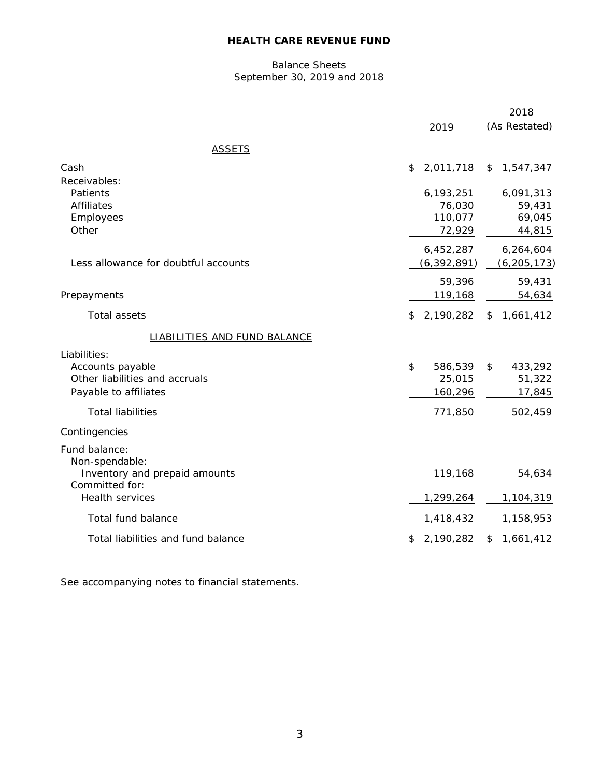# Balance Sheets September 30, 2019 and 2018

|                                                                                                                         |                                               | 2018                                         |
|-------------------------------------------------------------------------------------------------------------------------|-----------------------------------------------|----------------------------------------------|
|                                                                                                                         | 2019                                          | (As Restated)                                |
| <b>ASSETS</b>                                                                                                           |                                               |                                              |
| Cash                                                                                                                    | 2,011,718<br>\$                               | 1,547,347<br>\$                              |
| Receivables:<br>Patients<br><b>Affiliates</b><br>Employees<br>Other                                                     | 6,193,251<br>76,030<br>110,077<br>72,929      | 6,091,313<br>59,431<br>69,045<br>44,815      |
| Less allowance for doubtful accounts                                                                                    | 6,452,287<br>(6, 392, 891)                    | 6,264,604<br>(6, 205, 173)                   |
| Prepayments                                                                                                             | 59,396<br>119,168                             | 59,431<br>54,634                             |
| <b>Total assets</b>                                                                                                     | 2,190,282<br>\$                               | \$<br>1,661,412                              |
| <b>LIABILITIES AND FUND BALANCE</b>                                                                                     |                                               |                                              |
| Liabilities:<br>Accounts payable<br>Other liabilities and accruals<br>Payable to affiliates<br><b>Total liabilities</b> | 586,539<br>\$<br>25,015<br>160,296<br>771,850 | \$<br>433,292<br>51,322<br>17,845<br>502,459 |
| Contingencies                                                                                                           |                                               |                                              |
| Fund balance:<br>Non-spendable:<br>Inventory and prepaid amounts<br>Committed for:<br><b>Health services</b>            | 119,168<br>1,299,264                          | 54,634<br>1,104,319                          |
| Total fund balance                                                                                                      | 1,418,432                                     | 1,158,953                                    |
| Total liabilities and fund balance                                                                                      | 2,190,282<br>\$                               | 1,661,412<br>\$                              |

See accompanying notes to financial statements.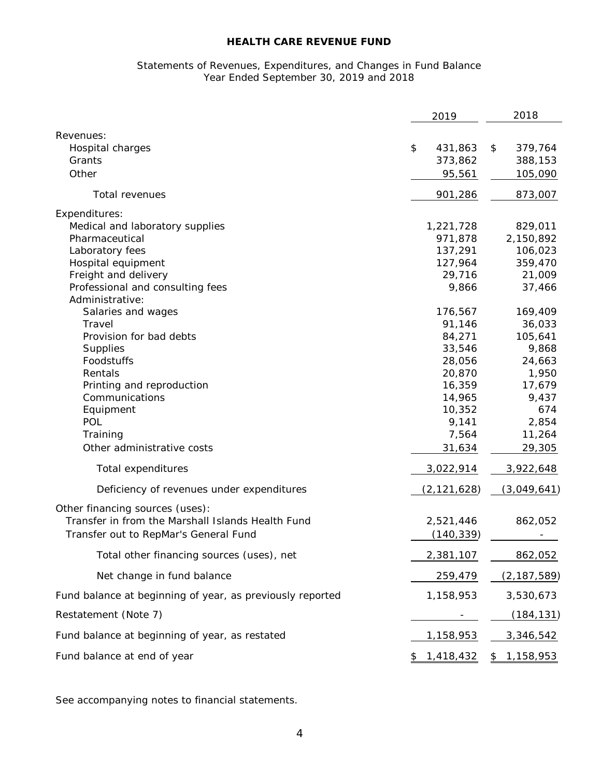# Statements of Revenues, Expenditures, and Changes in Fund Balance Year Ended September 30, 2019 and 2018

|                                                           | 2019               | 2018            |
|-----------------------------------------------------------|--------------------|-----------------|
| Revenues:                                                 |                    |                 |
| Hospital charges                                          | \$<br>431,863      | \$<br>379,764   |
| Grants                                                    | 373,862            | 388,153         |
| Other                                                     | 95,561             | 105,090         |
| Total revenues                                            | 901,286            | 873,007         |
| Expenditures:                                             |                    |                 |
| Medical and laboratory supplies                           | 1,221,728          | 829,011         |
| Pharmaceutical                                            | 971,878            | 2,150,892       |
| Laboratory fees                                           | 137,291            | 106,023         |
| Hospital equipment                                        | 127,964            | 359,470         |
| Freight and delivery                                      | 29,716             | 21,009          |
| Professional and consulting fees<br>Administrative:       | 9,866              | 37,466          |
| Salaries and wages                                        | 176,567            | 169,409         |
| Travel                                                    | 91,146             | 36,033          |
| Provision for bad debts                                   | 84,271             | 105,641         |
| Supplies                                                  | 33,546             | 9,868           |
| Foodstuffs                                                | 28,056             | 24,663          |
| Rentals                                                   | 20,870             | 1,950           |
| Printing and reproduction                                 | 16,359             | 17,679          |
| Communications                                            | 14,965             | 9,437           |
| Equipment                                                 | 10,352             | 674             |
| POL                                                       | 9,141              | 2,854           |
| Training                                                  | 7,564              | 11,264          |
| Other administrative costs                                | 31,634             | 29,305          |
| Total expenditures                                        | 3,022,914          | 3,922,648       |
| Deficiency of revenues under expenditures                 | <u>(2,121,628)</u> | (3,049,641)     |
| Other financing sources (uses):                           |                    |                 |
| Transfer in from the Marshall Islands Health Fund         | 2,521,446          | 862,052         |
| Transfer out to RepMar's General Fund                     | (140, 339)         |                 |
| Total other financing sources (uses), net                 | 2,381,107          | 862,052         |
| Net change in fund balance                                | 259,479            | (2, 187, 589)   |
| Fund balance at beginning of year, as previously reported | 1,158,953          | 3,530,673       |
| Restatement (Note 7)                                      |                    | (184, 131)      |
| Fund balance at beginning of year, as restated            | 1,158,953          | 3,346,542       |
| Fund balance at end of year                               | \$<br>1,418,432    | \$<br>1,158,953 |

See accompanying notes to financial statements.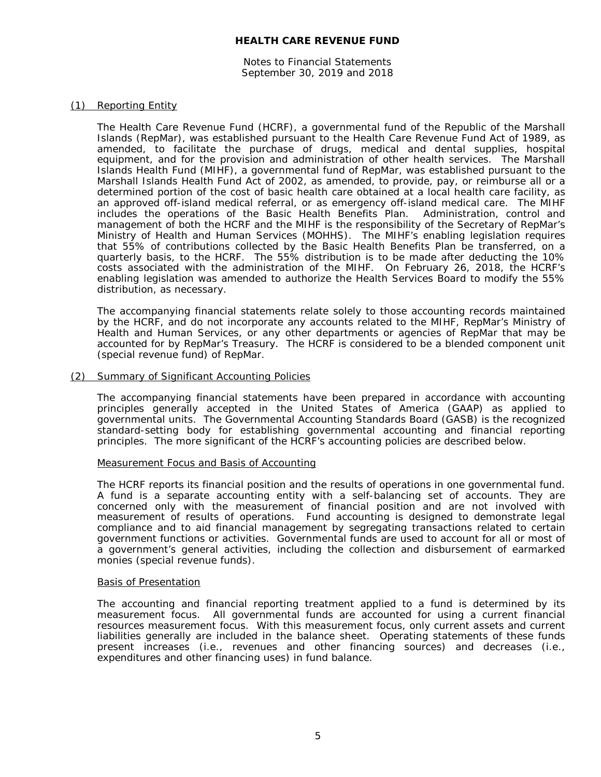Notes to Financial Statements September 30, 2019 and 2018

#### (1) Reporting Entity

The Health Care Revenue Fund (HCRF), a governmental fund of the Republic of the Marshall Islands (RepMar), was established pursuant to the Health Care Revenue Fund Act of 1989, as amended, to facilitate the purchase of drugs, medical and dental supplies, hospital equipment, and for the provision and administration of other health services. The Marshall Islands Health Fund (MIHF), a governmental fund of RepMar, was established pursuant to the Marshall Islands Health Fund Act of 2002, as amended, to provide, pay, or reimburse all or a determined portion of the cost of basic health care obtained at a local health care facility, as an approved off-island medical referral, or as emergency off-island medical care. The MIHF includes the operations of the Basic Health Benefits Plan. Administration, control and management of both the HCRF and the MIHF is the responsibility of the Secretary of RepMar's Ministry of Health and Human Services (MOHHS). The MIHF's enabling legislation requires that 55% of contributions collected by the Basic Health Benefits Plan be transferred, on a quarterly basis, to the HCRF. The 55% distribution is to be made after deducting the 10% costs associated with the administration of the MIHF. On February 26, 2018, the HCRF's enabling legislation was amended to authorize the Health Services Board to modify the 55% distribution, as necessary.

The accompanying financial statements relate solely to those accounting records maintained by the HCRF, and do not incorporate any accounts related to the MIHF, RepMar's Ministry of Health and Human Services, or any other departments or agencies of RepMar that may be accounted for by RepMar's Treasury. The HCRF is considered to be a blended component unit (special revenue fund) of RepMar.

#### (2) Summary of Significant Accounting Policies

The accompanying financial statements have been prepared in accordance with accounting principles generally accepted in the United States of America (GAAP) as applied to governmental units. The Governmental Accounting Standards Board (GASB) is the recognized standard-setting body for establishing governmental accounting and financial reporting principles. The more significant of the HCRF's accounting policies are described below.

#### Measurement Focus and Basis of Accounting

The HCRF reports its financial position and the results of operations in one governmental fund. A fund is a separate accounting entity with a self-balancing set of accounts. They are concerned only with the measurement of financial position and are not involved with measurement of results of operations. Fund accounting is designed to demonstrate legal compliance and to aid financial management by segregating transactions related to certain government functions or activities. Governmental funds are used to account for all or most of a government's general activities, including the collection and disbursement of earmarked monies (special revenue funds).

#### Basis of Presentation

The accounting and financial reporting treatment applied to a fund is determined by its measurement focus. All governmental funds are accounted for using a current financial resources measurement focus. With this measurement focus, only current assets and current liabilities generally are included in the balance sheet. Operating statements of these funds present increases (i.e., revenues and other financing sources) and decreases (i.e., expenditures and other financing uses) in fund balance.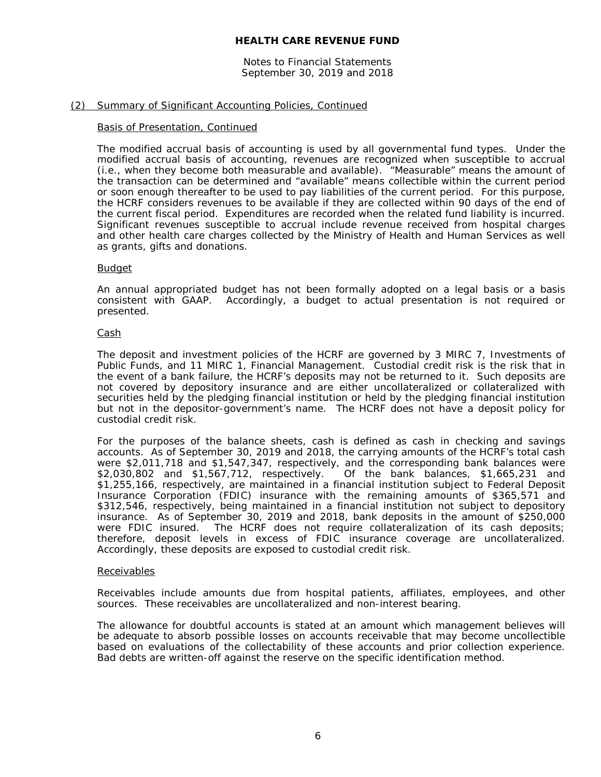Notes to Financial Statements September 30, 2019 and 2018

# (2) Summary of Significant Accounting Policies, Continued

#### Basis of Presentation, Continued

The modified accrual basis of accounting is used by all governmental fund types. Under the modified accrual basis of accounting, revenues are recognized when susceptible to accrual (i.e., when they become both measurable and available). "Measurable" means the amount of the transaction can be determined and "available" means collectible within the current period or soon enough thereafter to be used to pay liabilities of the current period. For this purpose, the HCRF considers revenues to be available if they are collected within 90 days of the end of the current fiscal period. Expenditures are recorded when the related fund liability is incurred. Significant revenues susceptible to accrual include revenue received from hospital charges and other health care charges collected by the Ministry of Health and Human Services as well as grants, gifts and donations.

#### Budget

An annual appropriated budget has not been formally adopted on a legal basis or a basis consistent with GAAP. Accordingly, a budget to actual presentation is not required or presented.

#### Cash

The deposit and investment policies of the HCRF are governed by 3 MIRC 7, *Investments of Public Funds*, and 11 MIRC 1, *Financial Management*. Custodial credit risk is the risk that in the event of a bank failure, the HCRF's deposits may not be returned to it. Such deposits are not covered by depository insurance and are either uncollateralized or collateralized with securities held by the pledging financial institution or held by the pledging financial institution but not in the depositor-government's name. The HCRF does not have a deposit policy for custodial credit risk.

For the purposes of the balance sheets, cash is defined as cash in checking and savings accounts. As of September 30, 2019 and 2018, the carrying amounts of the HCRF's total cash were \$2,011,718 and \$1,547,347, respectively, and the corresponding bank balances were \$2,030,802 and \$1,567,712, respectively. Of the bank balances, \$1,665,231 and \$1,255,166, respectively, are maintained in a financial institution subject to Federal Deposit Insurance Corporation (FDIC) insurance with the remaining amounts of \$365,571 and \$312,546, respectively, being maintained in a financial institution not subject to depository insurance. As of September 30, 2019 and 2018, bank deposits in the amount of \$250,000 were FDIC insured. The HCRF does not require collateralization of its cash deposits; therefore, deposit levels in excess of FDIC insurance coverage are uncollateralized. Accordingly, these deposits are exposed to custodial credit risk.

#### Receivables

Receivables include amounts due from hospital patients, affiliates, employees, and other sources. These receivables are uncollateralized and non-interest bearing.

The allowance for doubtful accounts is stated at an amount which management believes will be adequate to absorb possible losses on accounts receivable that may become uncollectible based on evaluations of the collectability of these accounts and prior collection experience. Bad debts are written-off against the reserve on the specific identification method.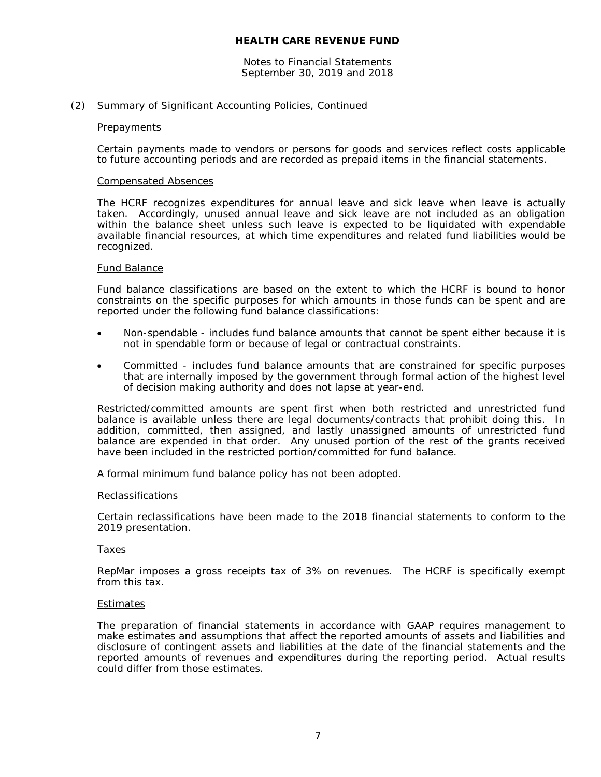Notes to Financial Statements September 30, 2019 and 2018

#### (2) Summary of Significant Accounting Policies, Continued

#### **Prepayments**

Certain payments made to vendors or persons for goods and services reflect costs applicable to future accounting periods and are recorded as prepaid items in the financial statements.

#### Compensated Absences

The HCRF recognizes expenditures for annual leave and sick leave when leave is actually taken. Accordingly, unused annual leave and sick leave are not included as an obligation within the balance sheet unless such leave is expected to be liquidated with expendable available financial resources, at which time expenditures and related fund liabilities would be recognized.

#### Fund Balance

Fund balance classifications are based on the extent to which the HCRF is bound to honor constraints on the specific purposes for which amounts in those funds can be spent and are reported under the following fund balance classifications:

- Non-spendable includes fund balance amounts that cannot be spent either because it is not in spendable form or because of legal or contractual constraints.
- Committed includes fund balance amounts that are constrained for specific purposes that are internally imposed by the government through formal action of the highest level of decision making authority and does not lapse at year-end.

Restricted/committed amounts are spent first when both restricted and unrestricted fund balance is available unless there are legal documents/contracts that prohibit doing this. In addition, committed, then assigned, and lastly unassigned amounts of unrestricted fund balance are expended in that order. Any unused portion of the rest of the grants received have been included in the restricted portion/committed for fund balance.

A formal minimum fund balance policy has not been adopted.

#### Reclassifications

Certain reclassifications have been made to the 2018 financial statements to conform to the 2019 presentation.

#### **Taxes**

RepMar imposes a gross receipts tax of 3% on revenues. The HCRF is specifically exempt from this tax.

#### **Estimates**

The preparation of financial statements in accordance with GAAP requires management to make estimates and assumptions that affect the reported amounts of assets and liabilities and disclosure of contingent assets and liabilities at the date of the financial statements and the reported amounts of revenues and expenditures during the reporting period. Actual results could differ from those estimates.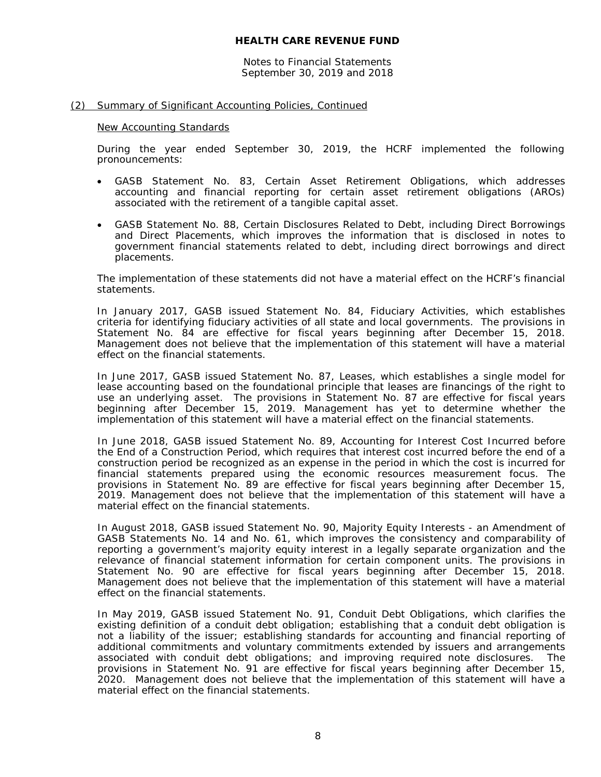Notes to Financial Statements September 30, 2019 and 2018

#### (2) Summary of Significant Accounting Policies, Continued

#### New Accounting Standards

During the year ended September 30, 2019, the HCRF implemented the following pronouncements:

- GASB Statement No. 83, *Certain Asset Retirement Obligations*, which addresses accounting and financial reporting for certain asset retirement obligations (AROs) associated with the retirement of a tangible capital asset.
- GASB Statement No. 88, *Certain Disclosures Related to Debt, including Direct Borrowings and Direct Placements*, which improves the information that is disclosed in notes to government financial statements related to debt, including direct borrowings and direct placements.

The implementation of these statements did not have a material effect on the HCRF's financial statements.

In January 2017, GASB issued Statement No. 84, *Fiduciary Activities*, which establishes criteria for identifying fiduciary activities of all state and local governments. The provisions in Statement No. 84 are effective for fiscal years beginning after December 15, 2018. Management does not believe that the implementation of this statement will have a material effect on the financial statements.

In June 2017, GASB issued Statement No. 87, *Leases*, which establishes a single model for lease accounting based on the foundational principle that leases are financings of the right to use an underlying asset. The provisions in Statement No. 87 are effective for fiscal years beginning after December 15, 2019. Management has yet to determine whether the implementation of this statement will have a material effect on the financial statements.

In June 2018, GASB issued Statement No. 89, *Accounting for Interest Cost Incurred before the End of a Construction Period*, which requires that interest cost incurred before the end of a construction period be recognized as an expense in the period in which the cost is incurred for financial statements prepared using the economic resources measurement focus. The provisions in Statement No. 89 are effective for fiscal years beginning after December 15, 2019. Management does not believe that the implementation of this statement will have a material effect on the financial statements.

In August 2018, GASB issued Statement No. 90, *Majority Equity Interests - an Amendment of GASB Statements No. 14 and No. 61,* which improves the consistency and comparability of reporting a government's majority equity interest in a legally separate organization and the relevance of financial statement information for certain component units. The provisions in Statement No. 90 are effective for fiscal years beginning after December 15, 2018. Management does not believe that the implementation of this statement will have a material effect on the financial statements.

In May 2019, GASB issued Statement No. 91, *Conduit Debt Obligations*, which clarifies the existing definition of a conduit debt obligation; establishing that a conduit debt obligation is not a liability of the issuer; establishing standards for accounting and financial reporting of additional commitments and voluntary commitments extended by issuers and arrangements associated with conduit debt obligations; and improving required note disclosures. The provisions in Statement No. 91 are effective for fiscal years beginning after December 15, 2020. Management does not believe that the implementation of this statement will have a material effect on the financial statements.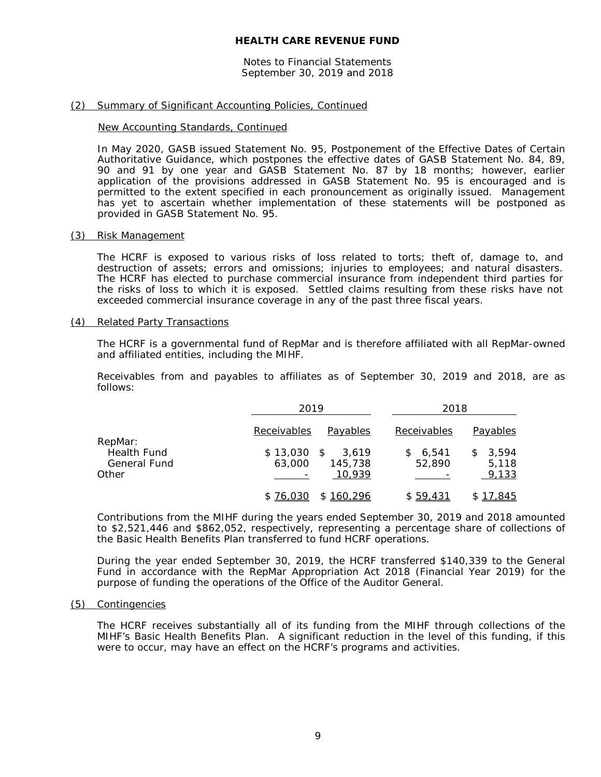Notes to Financial Statements September 30, 2019 and 2018

#### (2) Summary of Significant Accounting Policies, Continued

#### New Accounting Standards, Continued

In May 2020, GASB issued Statement No. 95, *Postponement of the Effective Dates of Certain Authoritative Guidance*, which postpones the effective dates of GASB Statement No. 84, 89, 90 and 91 by one year and GASB Statement No. 87 by 18 months; however, earlier application of the provisions addressed in GASB Statement No. 95 is encouraged and is permitted to the extent specified in each pronouncement as originally issued. Management has yet to ascertain whether implementation of these statements will be postponed as provided in GASB Statement No. 95.

#### (3) Risk Management

The HCRF is exposed to various risks of loss related to torts; theft of, damage to, and destruction of assets; errors and omissions; injuries to employees; and natural disasters. The HCRF has elected to purchase commercial insurance from independent third parties for the risks of loss to which it is exposed. Settled claims resulting from these risks have not exceeded commercial insurance coverage in any of the past three fiscal years.

#### (4) Related Party Transactions

The HCRF is a governmental fund of RepMar and is therefore affiliated with all RepMar-owned and affiliated entities, including the MIHF.

Receivables from and payables to affiliates as of September 30, 2019 and 2018, are as follows:

|                                                    | 2019                                                 | 2018                                               |
|----------------------------------------------------|------------------------------------------------------|----------------------------------------------------|
| RepMar:                                            | Receivables<br>Payables                              | Receivables<br>Payables                            |
| <b>Health Fund</b><br><b>General Fund</b><br>Other | $$13,030$ \$<br>3.619<br>63,000<br>145,738<br>10,939 | 3.594<br>\$6.541<br>S.<br>52,890<br>5,118<br>9,133 |
|                                                    | \$76,030<br>\$160,296                                | \$59,431<br>\$17,845                               |

Contributions from the MIHF during the years ended September 30, 2019 and 2018 amounted to \$2,521,446 and \$862,052, respectively, representing a percentage share of collections of the Basic Health Benefits Plan transferred to fund HCRF operations.

During the year ended September 30, 2019, the HCRF transferred \$140,339 to the General Fund in accordance with the RepMar Appropriation Act 2018 (Financial Year 2019) for the purpose of funding the operations of the Office of the Auditor General.

#### (5) Contingencies

The HCRF receives substantially all of its funding from the MIHF through collections of the MIHF's Basic Health Benefits Plan. A significant reduction in the level of this funding, if this were to occur, may have an effect on the HCRF's programs and activities.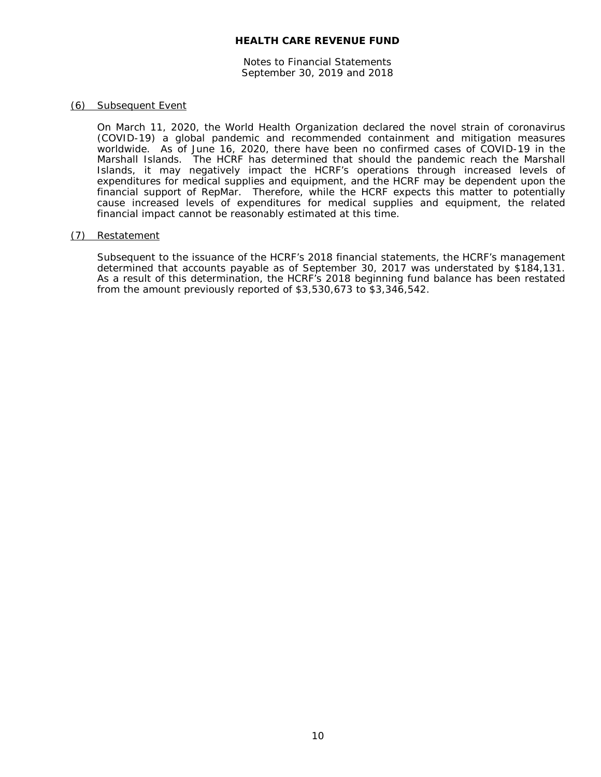Notes to Financial Statements September 30, 2019 and 2018

#### (6) Subsequent Event

On March 11, 2020, the World Health Organization declared the novel strain of coronavirus (COVID-19) a global pandemic and recommended containment and mitigation measures worldwide. As of June 16, 2020, there have been no confirmed cases of COVID-19 in the Marshall Islands. The HCRF has determined that should the pandemic reach the Marshall Islands, it may negatively impact the HCRF's operations through increased levels of expenditures for medical supplies and equipment, and the HCRF may be dependent upon the financial support of RepMar. Therefore, while the HCRF expects this matter to potentially cause increased levels of expenditures for medical supplies and equipment, the related financial impact cannot be reasonably estimated at this time.

#### (7) Restatement

Subsequent to the issuance of the HCRF's 2018 financial statements, the HCRF's management determined that accounts payable as of September 30, 2017 was understated by \$184,131. As a result of this determination, the HCRF's 2018 beginning fund balance has been restated from the amount previously reported of \$3,530,673 to \$3,346,542.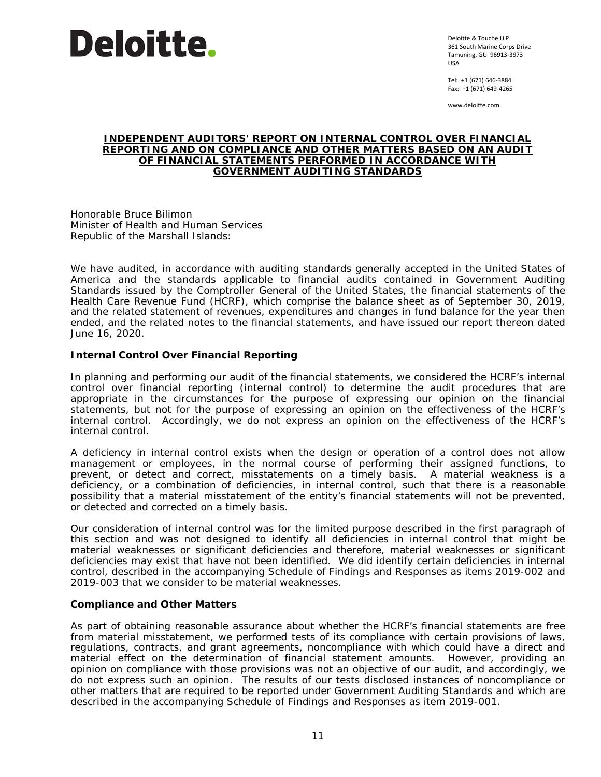

Deloitte & Touche LLP 361 South Marine Corps Drive Tamuning, GU 96913-3973 USA

Tel: +1 (671) 646-3884 Fax: +1 (671) 649-4265

www.deloitte.com

#### **INDEPENDENT AUDITORS' REPORT ON INTERNAL CONTROL OVER FINANCIAL REPORTING AND ON COMPLIANCE AND OTHER MATTERS BASED ON AN AUDIT OF FINANCIAL STATEMENTS PERFORMED IN ACCORDANCE WITH** *GOVERNMENT AUDITING STANDARDS*

Honorable Bruce Bilimon Minister of Health and Human Services Republic of the Marshall Islands:

We have audited, in accordance with auditing standards generally accepted in the United States of America and the standards applicable to financial audits contained in *Government Auditing Standards* issued by the Comptroller General of the United States, the financial statements of the Health Care Revenue Fund (HCRF), which comprise the balance sheet as of September 30, 2019, and the related statement of revenues, expenditures and changes in fund balance for the year then ended, and the related notes to the financial statements, and have issued our report thereon dated June 16, 2020.

# **Internal Control Over Financial Reporting**

In planning and performing our audit of the financial statements, we considered the HCRF's internal control over financial reporting (internal control) to determine the audit procedures that are appropriate in the circumstances for the purpose of expressing our opinion on the financial statements, but not for the purpose of expressing an opinion on the effectiveness of the HCRF's internal control. Accordingly, we do not express an opinion on the effectiveness of the HCRF's internal control.

A *deficiency in internal control* exists when the design or operation of a control does not allow management or employees, in the normal course of performing their assigned functions, to prevent, or detect and correct, misstatements on a timely basis. A *material weakness* is a deficiency, or a combination of deficiencies, in internal control, such that there is a reasonable possibility that a material misstatement of the entity's financial statements will not be prevented, or detected and corrected on a timely basis.

Our consideration of internal control was for the limited purpose described in the first paragraph of this section and was not designed to identify all deficiencies in internal control that might be material weaknesses or significant deficiencies and therefore, material weaknesses or significant deficiencies may exist that have not been identified. We did identify certain deficiencies in internal control, described in the accompanying Schedule of Findings and Responses as items 2019-002 and 2019-003 that we consider to be material weaknesses.

#### **Compliance and Other Matters**

As part of obtaining reasonable assurance about whether the HCRF's financial statements are free from material misstatement, we performed tests of its compliance with certain provisions of laws, regulations, contracts, and grant agreements, noncompliance with which could have a direct and material effect on the determination of financial statement amounts. However, providing an opinion on compliance with those provisions was not an objective of our audit, and accordingly, we do not express such an opinion. The results of our tests disclosed instances of noncompliance or other matters that are required to be reported under *Government Auditing Standards* and which are described in the accompanying Schedule of Findings and Responses as item 2019-001.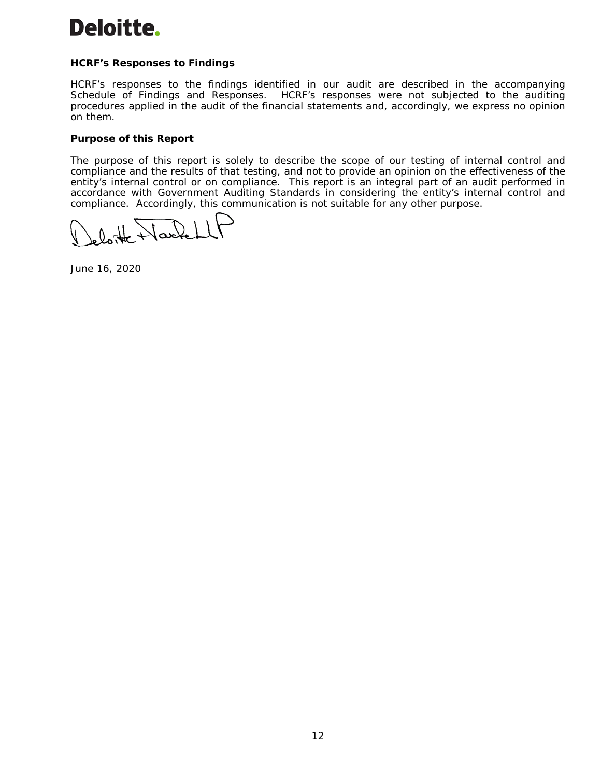# Deloitte.

# **HCRF's Responses to Findings**

HCRF's responses to the findings identified in our audit are described in the accompanying Schedule of Findings and Responses. HCRF's responses were not subjected to the auditing procedures applied in the audit of the financial statements and, accordingly, we express no opinion on them.

# **Purpose of this Report**

The purpose of this report is solely to describe the scope of our testing of internal control and compliance and the results of that testing, and not to provide an opinion on the effectiveness of the entity's internal control or on compliance. This report is an integral part of an audit performed in accordance with *Government Auditing Standards* in considering the entity's internal control and compliance. Accordingly, this communication is not suitable for any other purpose.

 $\mathcal{L}$ 

June 16, 2020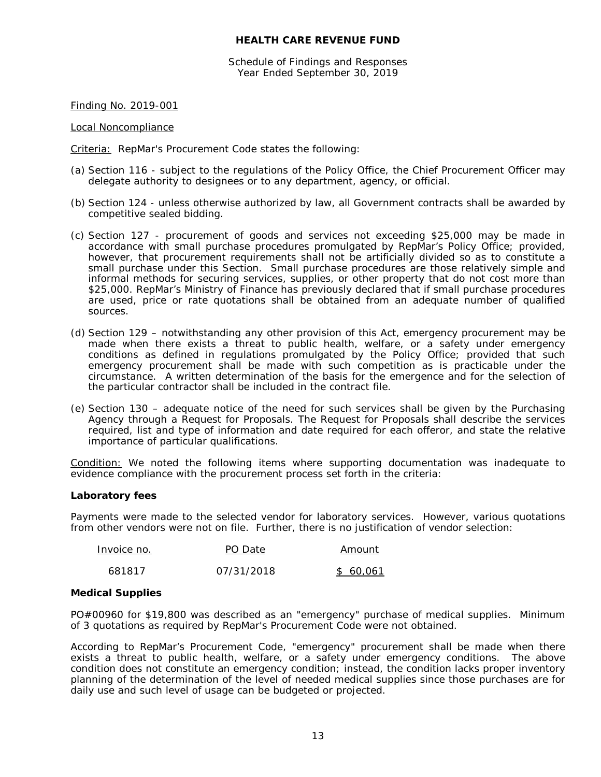Schedule of Findings and Responses Year Ended September 30, 2019

Finding No. 2019-001

Local Noncompliance

Criteria: RepMar's Procurement Code states the following:

- (a) Section 116 subject to the regulations of the Policy Office, the Chief Procurement Officer may delegate authority to designees or to any department, agency, or official.
- (b) Section 124 unless otherwise authorized by law, all Government contracts shall be awarded by competitive sealed bidding.
- (c) Section 127 procurement of goods and services not exceeding \$25,000 may be made in accordance with small purchase procedures promulgated by RepMar's Policy Office; provided, however, that procurement requirements shall not be artificially divided so as to constitute a small purchase under this Section. Small purchase procedures are those relatively simple and informal methods for securing services, supplies, or other property that do not cost more than \$25,000. RepMar's Ministry of Finance has previously declared that if small purchase procedures are used, price or rate quotations shall be obtained from an adequate number of qualified sources.
- (d) Section 129 notwithstanding any other provision of this Act, emergency procurement may be made when there exists a threat to public health, welfare, or a safety under emergency conditions as defined in regulations promulgated by the Policy Office; provided that such emergency procurement shall be made with such competition as is practicable under the circumstance. A written determination of the basis for the emergence and for the selection of the particular contractor shall be included in the contract file.
- (e) Section 130 adequate notice of the need for such services shall be given by the Purchasing Agency through a Request for Proposals. The Request for Proposals shall describe the services required, list and type of information and date required for each offeror, and state the relative importance of particular qualifications.

Condition: We noted the following items where supporting documentation was inadequate to evidence compliance with the procurement process set forth in the criteria:

#### **Laboratory fees**

Payments were made to the selected vendor for laboratory services. However, various quotations from other vendors were not on file. Further, there is no justification of vendor selection:

| Invoice no. | PO Date    | Amount   |
|-------------|------------|----------|
| 681817      | 07/31/2018 | \$60.061 |

#### **Medical Supplies**

PO#00960 for \$19,800 was described as an "emergency" purchase of medical supplies. Minimum of 3 quotations as required by RepMar's Procurement Code were not obtained.

According to RepMar's Procurement Code, "emergency" procurement shall be made when there exists a threat to public health, welfare, or a safety under emergency conditions. The above condition does not constitute an emergency condition; instead, the condition lacks proper inventory planning of the determination of the level of needed medical supplies since those purchases are for daily use and such level of usage can be budgeted or projected.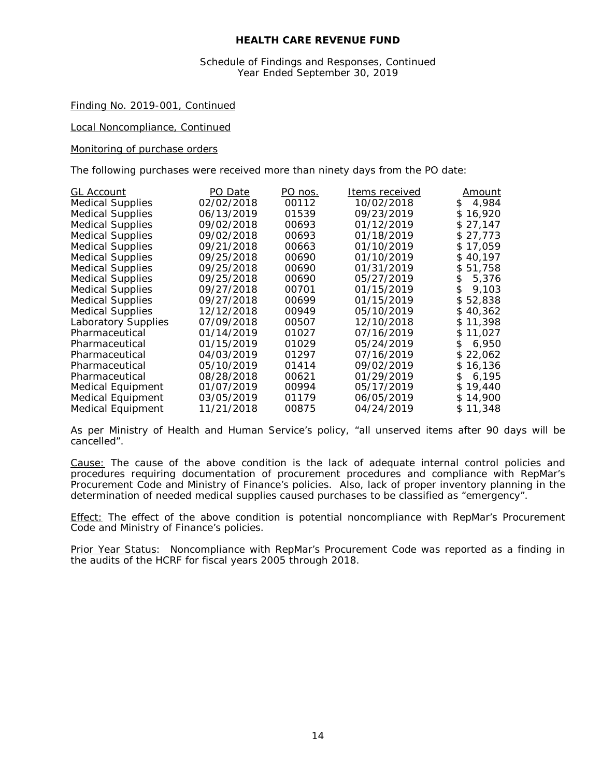#### Schedule of Findings and Responses, Continued Year Ended September 30, 2019

#### Finding No. 2019-001, Continued

Local Noncompliance, Continued

#### *Monitoring of purchase orders*

The following purchases were received more than ninety days from the PO date:

| <b>GL Account</b>          | PO Date    | PO nos. | Items received | <u>Amount</u> |
|----------------------------|------------|---------|----------------|---------------|
| <b>Medical Supplies</b>    | 02/02/2018 | 00112   | 10/02/2018     | \$4,984       |
| <b>Medical Supplies</b>    | 06/13/2019 | 01539   | 09/23/2019     | \$16,920      |
| <b>Medical Supplies</b>    | 09/02/2018 | 00693   | 01/12/2019     | \$27,147      |
| <b>Medical Supplies</b>    | 09/02/2018 | 00693   | 01/18/2019     | \$27,773      |
| <b>Medical Supplies</b>    | 09/21/2018 | 00663   | 01/10/2019     | \$17,059      |
| <b>Medical Supplies</b>    | 09/25/2018 | 00690   | 01/10/2019     | \$40,197      |
| <b>Medical Supplies</b>    | 09/25/2018 | 00690   | 01/31/2019     | \$51.758      |
| <b>Medical Supplies</b>    | 09/25/2018 | 00690   | 05/27/2019     | 5,376<br>S.   |
| <b>Medical Supplies</b>    | 09/27/2018 | 00701   | 01/15/2019     | 9,103<br>\$   |
| <b>Medical Supplies</b>    | 09/27/2018 | 00699   | 01/15/2019     | \$52,838      |
| <b>Medical Supplies</b>    | 12/12/2018 | 00949   | 05/10/2019     | \$40,362      |
| <b>Laboratory Supplies</b> | 07/09/2018 | 00507   | 12/10/2018     | \$11.398      |
| Pharmaceutical             | 01/14/2019 | 01027   | 07/16/2019     | \$11,027      |
| Pharmaceutical             | 01/15/2019 | 01029   | 05/24/2019     | 6,950<br>\$.  |
| Pharmaceutical             | 04/03/2019 | 01297   | 07/16/2019     | \$22,062      |
| Pharmaceutical             | 05/10/2019 | 01414   | 09/02/2019     | \$16,136      |
| Pharmaceutical             | 08/28/2018 | 00621   | 01/29/2019     | 6.195<br>\$.  |
| <b>Medical Equipment</b>   | 01/07/2019 | 00994   | 05/17/2019     | \$19,440      |
| <b>Medical Equipment</b>   | 03/05/2019 | 01179   | 06/05/2019     | \$14,900      |
| <b>Medical Equipment</b>   | 11/21/2018 | 00875   | 04/24/2019     | \$11,348      |

As per Ministry of Health and Human Service's policy, "*all unserved items after 90 days will be cancelled".*

Cause: The cause of the above condition is the lack of adequate internal control policies and procedures requiring documentation of procurement procedures and compliance with RepMar's Procurement Code and Ministry of Finance's policies. Also, lack of proper inventory planning in the determination of needed medical supplies caused purchases to be classified as "emergency".

Effect: The effect of the above condition is potential noncompliance with RepMar's Procurement Code and Ministry of Finance's policies.

Prior Year Status: Noncompliance with RepMar's Procurement Code was reported as a finding in the audits of the HCRF for fiscal years 2005 through 2018.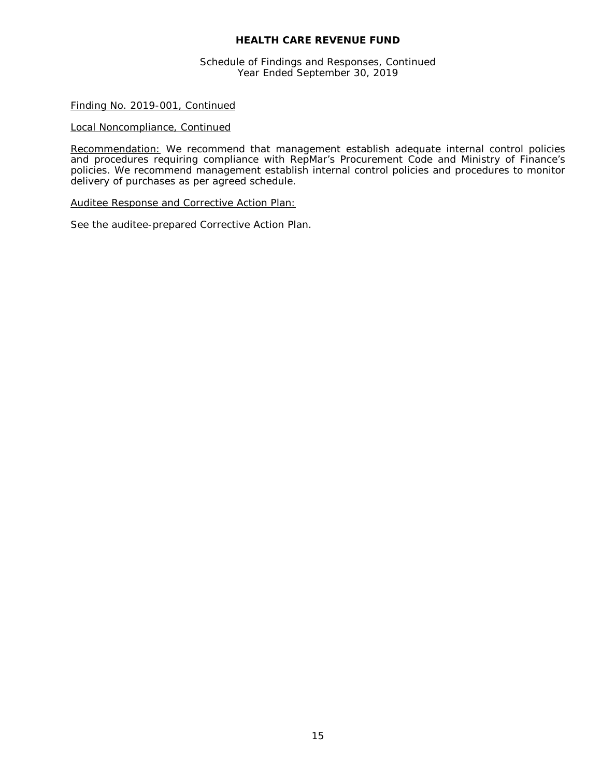Schedule of Findings and Responses, Continued Year Ended September 30, 2019

#### Finding No. 2019-001, Continued

#### Local Noncompliance, Continued

Recommendation: We recommend that management establish adequate internal control policies and procedures requiring compliance with RepMar's Procurement Code and Ministry of Finance's policies. We recommend management establish internal control policies and procedures to monitor delivery of purchases as per agreed schedule.

#### Auditee Response and Corrective Action Plan:

See the auditee-prepared Corrective Action Plan.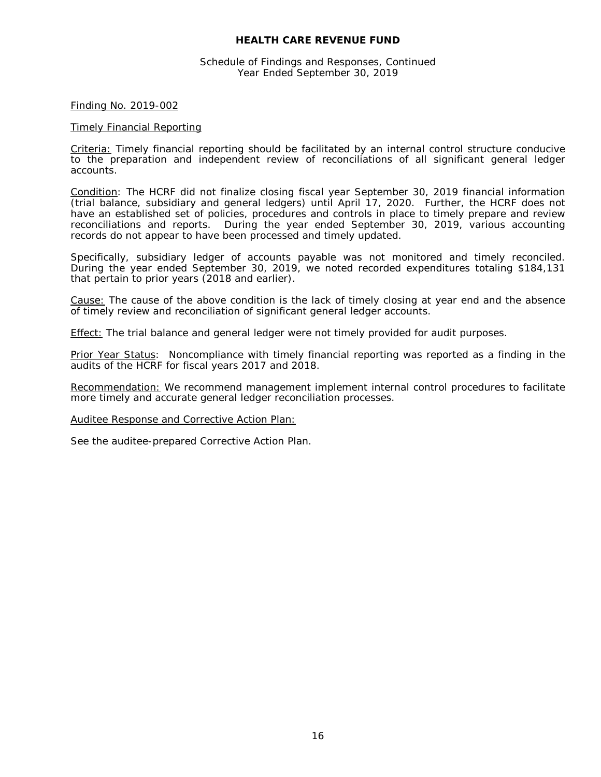Schedule of Findings and Responses, Continued Year Ended September 30, 2019

#### Finding No. 2019-002

#### Timely Financial Reporting

Criteria: Timely financial reporting should be facilitated by an internal control structure conducive to the preparation and independent review of reconciliations of all significant general ledger accounts.

Condition: The HCRF did not finalize closing fiscal year September 30, 2019 financial information (trial balance, subsidiary and general ledgers) until April 17, 2020. Further, the HCRF does not have an established set of policies, procedures and controls in place to timely prepare and review reconciliations and reports. During the year ended September 30, 2019, various accounting records do not appear to have been processed and timely updated.

Specifically, subsidiary ledger of accounts payable was not monitored and timely reconciled. During the year ended September 30, 2019, we noted recorded expenditures totaling \$184,131 that pertain to prior years (2018 and earlier).

Cause: The cause of the above condition is the lack of timely closing at year end and the absence of timely review and reconciliation of significant general ledger accounts.

Effect: The trial balance and general ledger were not timely provided for audit purposes.

Prior Year Status: Noncompliance with timely financial reporting was reported as a finding in the audits of the HCRF for fiscal years 2017 and 2018.

Recommendation: We recommend management implement internal control procedures to facilitate more timely and accurate general ledger reconciliation processes.

Auditee Response and Corrective Action Plan:

See the auditee-prepared Corrective Action Plan.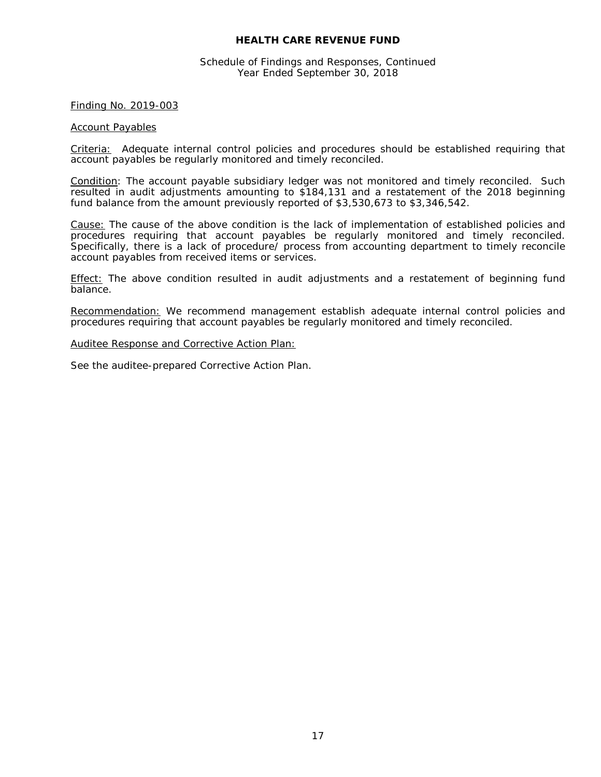Schedule of Findings and Responses, Continued Year Ended September 30, 2018

#### Finding No. 2019-003

#### Account Payables

Criteria: Adequate internal control policies and procedures should be established requiring that account payables be regularly monitored and timely reconciled.

Condition: The account payable subsidiary ledger was not monitored and timely reconciled. Such resulted in audit adjustments amounting to \$184,131 and a restatement of the 2018 beginning fund balance from the amount previously reported of \$3,530,673 to \$3,346,542.

Cause: The cause of the above condition is the lack of implementation of established policies and procedures requiring that account payables be regularly monitored and timely reconciled. Specifically, there is a lack of procedure/ process from accounting department to timely reconcile account payables from received items or services.

**Effect:** The above condition resulted in audit adjustments and a restatement of beginning fund balance.

Recommendation: We recommend management establish adequate internal control policies and procedures requiring that account payables be regularly monitored and timely reconciled.

#### Auditee Response and Corrective Action Plan:

See the auditee-prepared Corrective Action Plan.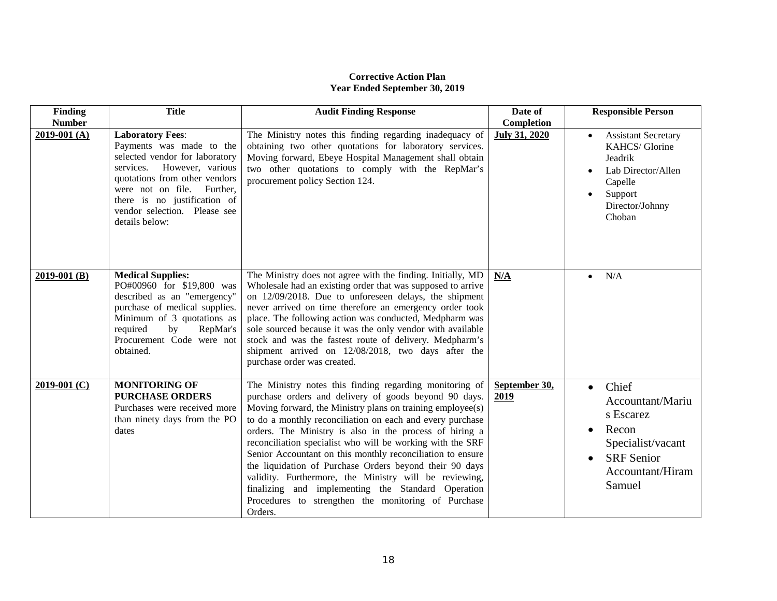# **Corrective Action Plan Year Ended September 30, 2019**

| Finding        | <b>Title</b>                                                                                                                                                                                                                                                            | <b>Audit Finding Response</b>                                                                                                                                                                                                                                                                                                                                                                                                                                                                                                                                                                                                                                                   | Date of               | <b>Responsible Person</b>                                                                                                                                      |
|----------------|-------------------------------------------------------------------------------------------------------------------------------------------------------------------------------------------------------------------------------------------------------------------------|---------------------------------------------------------------------------------------------------------------------------------------------------------------------------------------------------------------------------------------------------------------------------------------------------------------------------------------------------------------------------------------------------------------------------------------------------------------------------------------------------------------------------------------------------------------------------------------------------------------------------------------------------------------------------------|-----------------------|----------------------------------------------------------------------------------------------------------------------------------------------------------------|
| <b>Number</b>  |                                                                                                                                                                                                                                                                         |                                                                                                                                                                                                                                                                                                                                                                                                                                                                                                                                                                                                                                                                                 | Completion            |                                                                                                                                                                |
| $2019-001(A)$  | <b>Laboratory Fees:</b><br>Payments was made to the<br>selected vendor for laboratory<br>services. However, various<br>quotations from other vendors<br>were not on file.<br>Further.<br>there is no justification of<br>vendor selection. Please see<br>details below: | The Ministry notes this finding regarding inadequacy of<br>obtaining two other quotations for laboratory services.<br>Moving forward, Ebeye Hospital Management shall obtain<br>two other quotations to comply with the RepMar's<br>procurement policy Section 124.                                                                                                                                                                                                                                                                                                                                                                                                             | <b>July 31, 2020</b>  | <b>Assistant Secretary</b><br>KAHCS/Glorine<br>Jeadrik<br>Lab Director/Allen<br>$\bullet$<br>Capelle<br>Support<br>$\bullet$<br>Director/Johnny<br>Choban      |
| $2019-001$ (B) | <b>Medical Supplies:</b><br>PO#00960 for \$19,800 was<br>described as an "emergency"<br>purchase of medical supplies.<br>Minimum of 3 quotations as<br>required<br>by<br>RepMar's<br>Procurement Code were not<br>obtained.                                             | The Ministry does not agree with the finding. Initially, MD<br>Wholesale had an existing order that was supposed to arrive<br>on 12/09/2018. Due to unforeseen delays, the shipment<br>never arrived on time therefore an emergency order took<br>place. The following action was conducted, Medpharm was<br>sole sourced because it was the only vendor with available<br>stock and was the fastest route of delivery. Medpharm's<br>shipment arrived on 12/08/2018, two days after the<br>purchase order was created.                                                                                                                                                         | N/A                   | N/A<br>$\bullet$                                                                                                                                               |
| $2019-001$ (C) | <b>MONITORING OF</b><br><b>PURCHASE ORDERS</b><br>Purchases were received more<br>than ninety days from the PO<br>dates                                                                                                                                                 | The Ministry notes this finding regarding monitoring of<br>purchase orders and delivery of goods beyond 90 days.<br>Moving forward, the Ministry plans on training employee(s)<br>to do a monthly reconciliation on each and every purchase<br>orders. The Ministry is also in the process of hiring a<br>reconciliation specialist who will be working with the SRF<br>Senior Accountant on this monthly reconciliation to ensure<br>the liquidation of Purchase Orders beyond their 90 days<br>validity. Furthermore, the Ministry will be reviewing,<br>finalizing and implementing the Standard Operation<br>Procedures to strengthen the monitoring of Purchase<br>Orders. | September 30,<br>2019 | Chief<br>$\bullet$<br>Accountant/Mariu<br>s Escarez<br>Recon<br>$\bullet$<br>Specialist/vacant<br><b>SRF</b> Senior<br>$\bullet$<br>Accountant/Hiram<br>Samuel |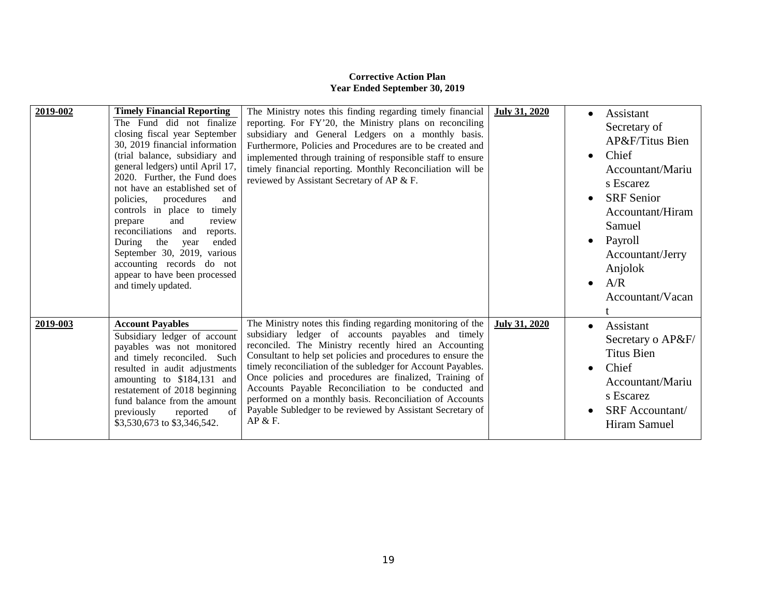# **Corrective Action Plan Year Ended September 30, 2019**

| 2019-002 | <b>Timely Financial Reporting</b><br>The Fund did not finalize<br>closing fiscal year September<br>30, 2019 financial information<br>(trial balance, subsidiary and<br>general ledgers) until April 17,<br>2020. Further, the Fund does<br>not have an established set of<br>policies,<br>procedures<br>and<br>controls in place to timely<br>and<br>review<br>prepare<br>reconciliations and<br>reports.<br>ended<br>During the year<br>September 30, 2019, various<br>accounting records do not<br>appear to have been processed<br>and timely updated. | The Ministry notes this finding regarding timely financial<br>reporting. For FY'20, the Ministry plans on reconciling<br>subsidiary and General Ledgers on a monthly basis.<br>Furthermore, Policies and Procedures are to be created and<br>implemented through training of responsible staff to ensure<br>timely financial reporting. Monthly Reconciliation will be<br>reviewed by Assistant Secretary of AP & F.                                                                                                                                             | <b>July 31, 2020</b> | Assistant<br>$\bullet$<br>Secretary of<br>AP&F/Titus Bien<br>Chief<br>$\bullet$<br>Accountant/Mariu<br>s Escarez<br><b>SRF</b> Senior<br>$\bullet$<br>Accountant/Hiram<br>Samuel<br>Payroll<br>$\bullet$<br>Accountant/Jerry<br>Anjolok<br>A/R<br>$\bullet$<br>Accountant/Vacan |
|----------|-----------------------------------------------------------------------------------------------------------------------------------------------------------------------------------------------------------------------------------------------------------------------------------------------------------------------------------------------------------------------------------------------------------------------------------------------------------------------------------------------------------------------------------------------------------|------------------------------------------------------------------------------------------------------------------------------------------------------------------------------------------------------------------------------------------------------------------------------------------------------------------------------------------------------------------------------------------------------------------------------------------------------------------------------------------------------------------------------------------------------------------|----------------------|---------------------------------------------------------------------------------------------------------------------------------------------------------------------------------------------------------------------------------------------------------------------------------|
| 2019-003 | <b>Account Payables</b><br>Subsidiary ledger of account<br>payables was not monitored<br>and timely reconciled. Such<br>resulted in audit adjustments<br>amounting to \$184,131 and<br>restatement of 2018 beginning<br>fund balance from the amount<br>of<br>previously<br>reported<br>\$3,530,673 to \$3,346,542.                                                                                                                                                                                                                                       | The Ministry notes this finding regarding monitoring of the<br>subsidiary ledger of accounts payables and timely<br>reconciled. The Ministry recently hired an Accounting<br>Consultant to help set policies and procedures to ensure the<br>timely reconciliation of the subledger for Account Payables.<br>Once policies and procedures are finalized, Training of<br>Accounts Payable Reconciliation to be conducted and<br>performed on a monthly basis. Reconciliation of Accounts<br>Payable Subledger to be reviewed by Assistant Secretary of<br>AP & F. | July 31, 2020        | Assistant<br>$\bullet$<br>Secretary o AP&F/<br><b>Titus Bien</b><br>Chief<br>$\bullet$<br>Accountant/Mariu<br>s Escarez<br><b>SRF</b> Accountant/<br>$\bullet$<br>Hiram Samuel                                                                                                  |